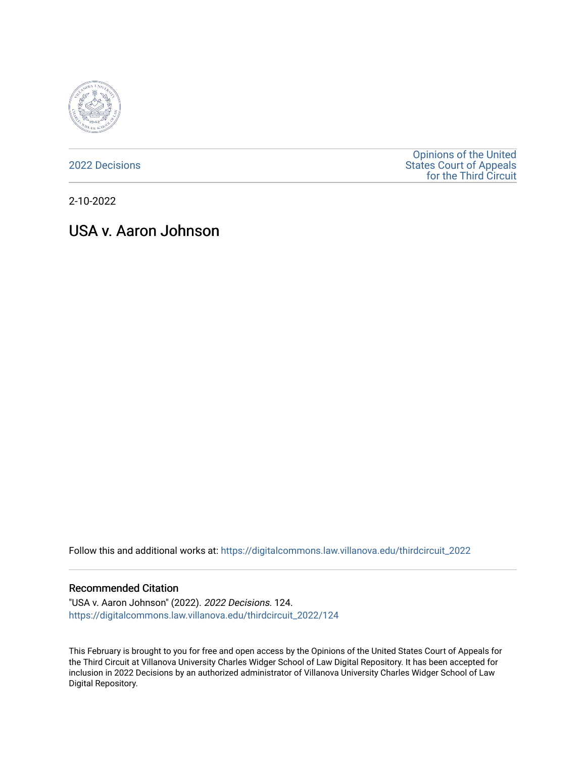

[2022 Decisions](https://digitalcommons.law.villanova.edu/thirdcircuit_2022)

[Opinions of the United](https://digitalcommons.law.villanova.edu/thirdcircuit)  [States Court of Appeals](https://digitalcommons.law.villanova.edu/thirdcircuit)  [for the Third Circuit](https://digitalcommons.law.villanova.edu/thirdcircuit) 

2-10-2022

# USA v. Aaron Johnson

Follow this and additional works at: [https://digitalcommons.law.villanova.edu/thirdcircuit\\_2022](https://digitalcommons.law.villanova.edu/thirdcircuit_2022?utm_source=digitalcommons.law.villanova.edu%2Fthirdcircuit_2022%2F124&utm_medium=PDF&utm_campaign=PDFCoverPages) 

### Recommended Citation

"USA v. Aaron Johnson" (2022). 2022 Decisions. 124. [https://digitalcommons.law.villanova.edu/thirdcircuit\\_2022/124](https://digitalcommons.law.villanova.edu/thirdcircuit_2022/124?utm_source=digitalcommons.law.villanova.edu%2Fthirdcircuit_2022%2F124&utm_medium=PDF&utm_campaign=PDFCoverPages)

This February is brought to you for free and open access by the Opinions of the United States Court of Appeals for the Third Circuit at Villanova University Charles Widger School of Law Digital Repository. It has been accepted for inclusion in 2022 Decisions by an authorized administrator of Villanova University Charles Widger School of Law Digital Repository.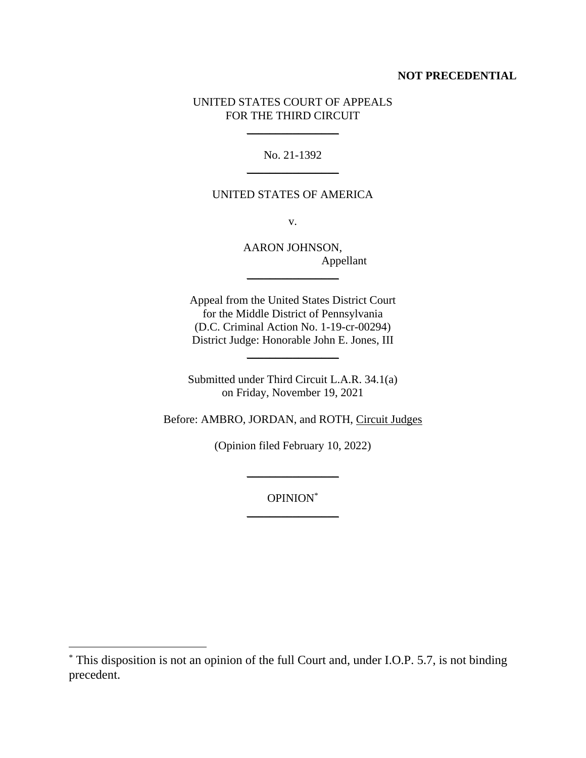## **NOT PRECEDENTIAL**

# UNITED STATES COURT OF APPEALS FOR THE THIRD CIRCUIT

 $\frac{1}{2}$ 

No. 21-1392  $\mathcal{L}=\mathcal{L}$ 

# UNITED STATES OF AMERICA

v.

AARON JOHNSON, Appellant

Appeal from the United States District Court for the Middle District of Pennsylvania (D.C. Criminal Action No. 1-19-cr-00294) District Judge: Honorable John E. Jones, III

 $\frac{1}{2}$ 

 $\frac{1}{2}$ 

Submitted under Third Circuit L.A.R. 34.1(a) on Friday, November 19, 2021

Before: AMBRO, JORDAN, and ROTH, Circuit Judges

(Opinion filed February 10, 2022)

OPINION\* \_\_\_\_\_\_\_\_\_\_\_\_\_\_\_\_

 $\frac{1}{2}$ 

<sup>\*</sup> This disposition is not an opinion of the full Court and, under I.O.P. 5.7, is not binding precedent.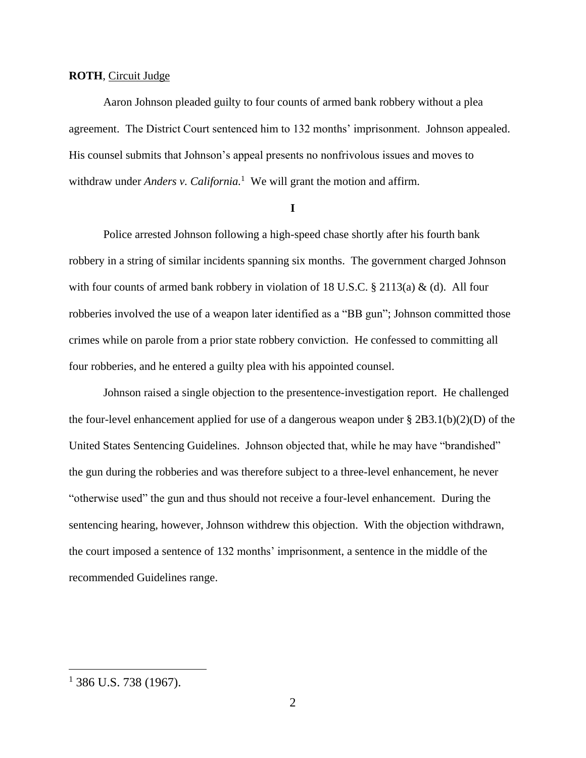#### **ROTH**, Circuit Judge

Aaron Johnson pleaded guilty to four counts of armed bank robbery without a plea agreement. The District Court sentenced him to 132 months' imprisonment. Johnson appealed. His counsel submits that Johnson's appeal presents no nonfrivolous issues and moves to withdraw under *Anders v. California.*<sup>1</sup> We will grant the motion and affirm.

**I**

Police arrested Johnson following a high-speed chase shortly after his fourth bank robbery in a string of similar incidents spanning six months. The government charged Johnson with four counts of armed bank robbery in violation of 18 U.S.C. § 2113(a) & (d). All four robberies involved the use of a weapon later identified as a "BB gun"; Johnson committed those crimes while on parole from a prior state robbery conviction. He confessed to committing all four robberies, and he entered a guilty plea with his appointed counsel.

Johnson raised a single objection to the presentence-investigation report. He challenged the four-level enhancement applied for use of a dangerous weapon under  $\S 2B3.1(b)(2)(D)$  of the United States Sentencing Guidelines. Johnson objected that, while he may have "brandished" the gun during the robberies and was therefore subject to a three-level enhancement, he never "otherwise used" the gun and thus should not receive a four-level enhancement. During the sentencing hearing, however, Johnson withdrew this objection. With the objection withdrawn, the court imposed a sentence of 132 months' imprisonment, a sentence in the middle of the recommended Guidelines range.

 $1$  386 U.S. 738 (1967).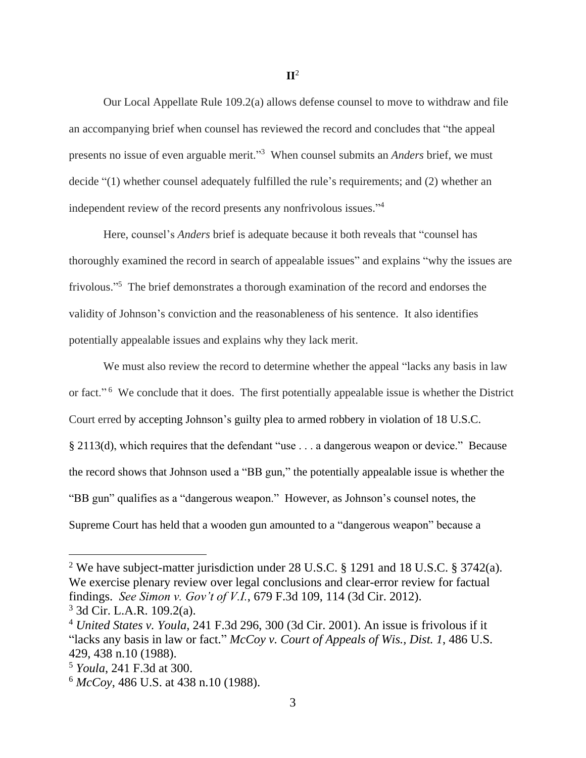Our Local Appellate Rule 109.2(a) allows defense counsel to move to withdraw and file an accompanying brief when counsel has reviewed the record and concludes that "the appeal presents no issue of even arguable merit." <sup>3</sup> When counsel submits an *Anders* brief, we must decide "(1) whether counsel adequately fulfilled the rule's requirements; and (2) whether an independent review of the record presents any nonfrivolous issues."<sup>4</sup>

Here, counsel's *Anders* brief is adequate because it both reveals that "counsel has thoroughly examined the record in search of appealable issues" and explains "why the issues are frivolous."<sup>5</sup> The brief demonstrates a thorough examination of the record and endorses the validity of Johnson's conviction and the reasonableness of his sentence. It also identifies potentially appealable issues and explains why they lack merit.

We must also review the record to determine whether the appeal "lacks any basis in law or fact."<sup>6</sup> We conclude that it does. The first potentially appealable issue is whether the District Court erred by accepting Johnson's guilty plea to armed robbery in violation of 18 U.S.C. § 2113(d), which requires that the defendant "use . . . a dangerous weapon or device." Because the record shows that Johnson used a "BB gun," the potentially appealable issue is whether the "BB gun" qualifies as a "dangerous weapon." However, as Johnson's counsel notes, the Supreme Court has held that a wooden gun amounted to a "dangerous weapon" because a

<sup>2</sup> We have subject-matter jurisdiction under 28 U.S.C. § 1291 and 18 U.S.C. § 3742(a). We exercise plenary review over legal conclusions and clear-error review for factual findings. *See Simon v. Gov't of V.I.*, 679 F.3d 109, 114 (3d Cir. 2012). <sup>3</sup> 3d Cir. L.A.R. 109.2(a).

<sup>4</sup> *United States v. Youla*, 241 F.3d 296, 300 (3d Cir. 2001). An issue is frivolous if it "lacks any basis in law or fact." *McCoy v. Court of Appeals of Wis., Dist. 1*, 486 U.S. 429, 438 n.10 (1988).

<sup>5</sup> *Youla*, 241 F.3d at 300.

<sup>6</sup> *McCoy*, 486 U.S. at 438 n.10 (1988).